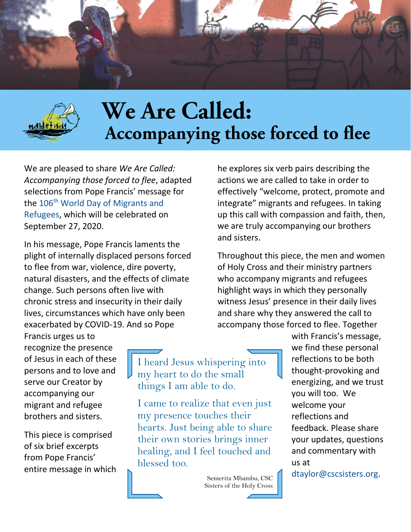



# We Are Called: Accompanying those forced to flee

We are pleased to share *We Are Called: Accompanying those forced to flee*, adapted selections from Pope Francis' message for the 106<sup>th</sup> World Day of Migrants and [Refugees,](http://www.vatican.va/content/francesco/en/messages/migration/documents/papa-francesco_20200513_world-migrants-day-2020.html) which will be celebrated on September 27, 2020.

In his message, Pope Francis laments the plight of internally displaced persons forced to flee from war, violence, dire poverty, natural disasters, and the effects of climate change. Such persons often live with chronic stress and insecurity in their daily lives, circumstances which have only been exacerbated by COVID-19. And so Pope

he explores six verb pairs describing the actions we are called to take in order to effectively "welcome, protect, promote and integrate" migrants and refugees. In taking up this call with compassion and faith, then, we are truly accompanying our brothers and sisters.

Throughout this piece, the men and women of Holy Cross and their ministry partners who accompany migrants and refugees highlight ways in which they personally witness Jesus' presence in their daily lives and share why they answered the call to accompany those forced to flee. Together

Francis urges us to recognize the presence of Jesus in each of these persons and to love and serve our Creator by accompanying our migrant and refugee brothers and sisters.

This piece is comprised of six brief excerpts from Pope Francis' entire message in which

I heard Jesus whispering into my heart to do the small things I am able to do.

I came to realize that even just my presence touches their hearts. Just being able to share their own stories brings inner healing, and I feel touched and blessed too.

> Semerita Mbambu, CSC Sisters of the Holy Cross

with Francis's message, we find these personal reflections to be both thought-provoking and energizing, and we trust you will too. We welcome your reflections and feedback. Please share your updates, questions and commentary with us at

[dtaylor@cscsisters.org.](mailto:dtaylor@cscsisters.org)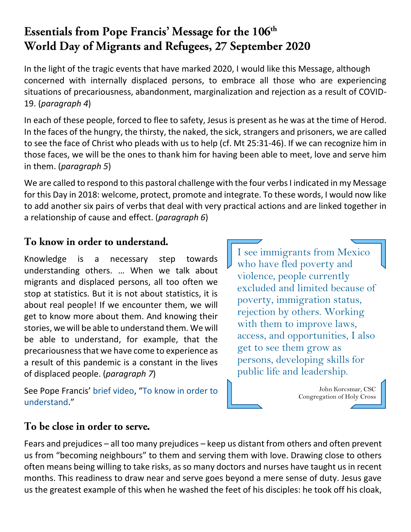## Essentials from Pope Francis' Message for the 106<sup>th</sup> World Day of Migrants and Refugees, 27 September 2020

In the light of the tragic events that have marked 2020, I would like this Message, although concerned with internally displaced persons, to embrace all those who are experiencing situations of precariousness, abandonment, marginalization and rejection as a result of COVID-19. (*paragraph 4*)

In each of these people, forced to flee to safety, Jesus is present as he was at the time of Herod. In the faces of the hungry, the thirsty, the naked, the sick, strangers and prisoners, we are called to see the face of Christ who pleads with us to help (cf. Mt 25:31-46). If we can recognize him in those faces, we will be the ones to thank him for having been able to meet, love and serve him in them. (*paragraph 5*)

We are called to respond to this pastoral challenge with the four verbs I indicated in my Message for this Day in 2018: welcome, protect, promote and integrate. To these words, I would now like to add another six pairs of verbs that deal with very practical actions and are linked together in a relationship of cause and effect. (*paragraph 6*)

### To know in order to understand.

Knowledge is a necessary step towards understanding others. … When we talk about migrants and displaced persons, all too often we stop at statistics. But it is not about statistics, it is about real people! If we encounter them, we will get to know more about them. And knowing their stories, we will be able to understand them. We will be able to understand, for example, that the precariousness that we have come to experience as a result of this pandemic is a constant in the lives of displaced people. (*paragraph 7*)

See Pope Francis' [brief video](https://youtu.be/oS5SvUWlsZo), "[To know in order to](https://youtu.be/oS5SvUWlsZo)  [understand](https://youtu.be/oS5SvUWlsZo)."

I see immigrants from Mexico who have fled poverty and violence, people currently excluded and limited because of poverty, immigration status, rejection by others. Working with them to improve laws, access, and opportunities, I also get to see them grow as persons, developing skills for public life and leadership.

> John Korcsmar, CSC Congregation of Holy Cross

#### To be close in order to serve.

Fears and prejudices – all too many prejudices – keep us distant from others and often prevent us from "becoming neighbours" to them and serving them with love. Drawing close to others often means being willing to take risks, as so many doctors and nurses have taught us in recent months. This readiness to draw near and serve goes beyond a mere sense of duty. Jesus gave us the greatest example of this when he washed the feet of his disciples: he took off his cloak,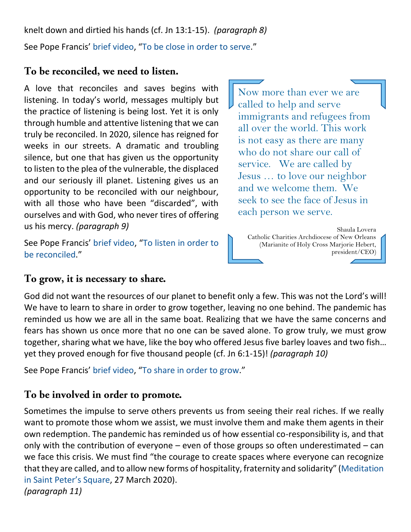knelt down and dirtied his hands (cf. Jn 13:1-15). *(paragraph 8)* See Pope Francis' [brief video](https://youtu.be/wdN2vFMkqWU), "[To be close in order to serve](https://youtu.be/wdN2vFMkqWU)."

#### To be reconciled, we need to listen.

A love that reconciles and saves begins with listening. In today's world, messages multiply but the practice of listening is being lost. Yet it is only through humble and attentive listening that we can truly be reconciled. In 2020, silence has reigned for weeks in our streets. A dramatic and troubling silence, but one that has given us the opportunity to listen to the plea of the vulnerable, the displaced and our seriously ill planet. Listening gives us an opportunity to be reconciled with our neighbour, with all those who have been "discarded", with ourselves and with God, who never tires of offering us his mercy. *(paragraph 9)*

See Pope Francis' [brief video](https://youtu.be/ZeOt2PGn8sg), "[To listen in order to](https://youtu.be/ZeOt2PGn8sg)  [be reconciled](https://youtu.be/ZeOt2PGn8sg)."

Now more than ever we are called to help and serve immigrants and refugees from all over the world. This work is not easy as there are many who do not share our call of service. We are called by Jesus … to love our neighbor and we welcome them. We seek to see the face of Jesus in each person we serve.

Shaula Lovera Catholic Charities Archdiocese of New Orleans (Marianite of Holy Cross Marjorie Hebert, president/CEO)

#### To grow, it is necessary to share.

God did not want the resources of our planet to benefit only a few. This was not the Lord's will! We have to learn to share in order to grow together, leaving no one behind. The pandemic has reminded us how we are all in the same boat. Realizing that we have the same concerns and fears has shown us once more that no one can be saved alone. To grow truly, we must grow together, sharing what we have, like the boy who offered Jesus five barley loaves and two fish… yet they proved enough for five thousand people (cf. Jn 6:1-15)! *(paragraph 10)*

See Pope Francis' [brief video](https://youtu.be/LEV7id9Y_Y4), "[To share in order to grow](https://youtu.be/LEV7id9Y_Y4)."

#### To be involved in order to promote.

Sometimes the impulse to serve others prevents us from seeing their real riches. If we really want to promote those whom we assist, we must involve them and make them agents in their own redemption. The pandemic has reminded us of how essential co-responsibility is, and that only with the contribution of everyone – even of those groups so often underestimated – can we face this crisis. We must find "the courage to create spaces where everyone can recognize that they are called, and to allow new forms of hospitality, fraternity and solidarity" ([Meditation](http://www.vatican.va/content/francesco/en/homilies/2020/documents/papa-francesco_20200327_omelia-epidemia.html)  [in Saint Peter's Square](http://www.vatican.va/content/francesco/en/homilies/2020/documents/papa-francesco_20200327_omelia-epidemia.html), 27 March 2020). *(paragraph 11)*